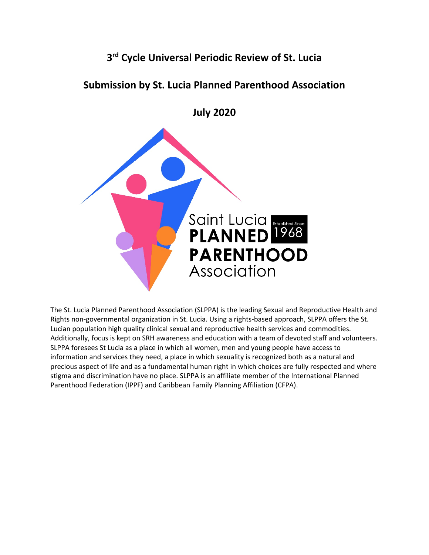# **3rd Cycle Universal Periodic Review of St. Lucia**

## **Submission by St. Lucia Planned Parenthood Association**

**July 2020**



The St. Lucia Planned Parenthood Association (SLPPA) is the leading Sexual and Reproductive Health and Rights non-governmental organization in St. Lucia. Using <sup>a</sup> rights-based approach, SLPPA offers the St. Lucian population high quality clinical sexual and reproductive health services and commodities. Additionally, focus is kept on SRH awareness and education with <sup>a</sup> team of devoted staff and volunteers. SLPPA foresees St Lucia as <sup>a</sup> place in which all women, men and young people have access to information and services they need, <sup>a</sup> place in which sexuality is recognized both as <sup>a</sup> natural and precious aspect of life and as <sup>a</sup> fundamental human right in which choices are fully respected and where stigma and discrimination have no place. SLPPA is an affiliate member of the International Planned Parenthood Federation (IPPF) and Caribbean Family Planning Affiliation (CFPA).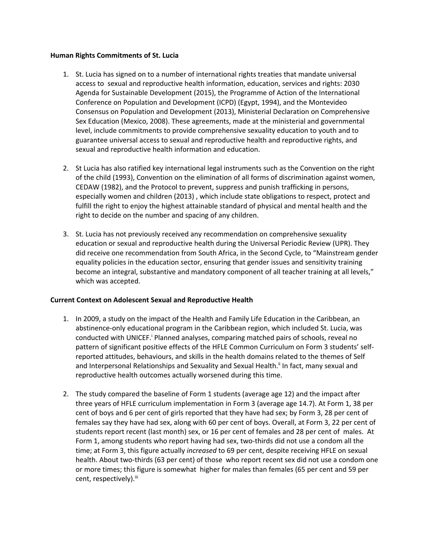#### **Human Rights Commitments of St. Lucia**

- 1. St. Lucia has signed on to <sup>a</sup> number of international rights treaties that mandate universal access to sexual and reproductive health information, education, services and rights: 2030 Agenda for Sustainable Development (2015), the Programme of Action of the International Conference on Population and Development (ICPD) (Egypt, 1994), and the Montevideo Consensus on Population and Development (2013), Ministerial Declaration on Comprehensive Sex Education (Mexico, 2008). These agreements, made at the ministerial and governmental level, include commitments to provide comprehensive sexuality education to youth and to guarantee universal access to sexual and reproductive health and reproductive rights, and sexual and reproductive health information and education.
- 2. St Lucia has also ratified key international legal instruments such as the Convention on the right of the child (1993), Convention on the elimination of all forms of discrimination against women, CEDAW (1982), and the Protocol to prevent, suppress and punish trafficking in persons, especially women and children (2013) , which include state obligations to respect, protect and fulfill the right to enjoy the highest attainable standard of physical and mental health and the right to decide on the number and spacing of any children.
- 3. St. Lucia has not previously received any recommendation on comprehensive sexuality education or sexual and reproductive health during the Universal Periodic Review (UPR). They did receive one recommendation from South Africa, in the Second Cycle, to "Mainstream gender equality policies in the education sector, ensuring that gender issues and sensitivity training become an integral, substantive and mandatory component of all teacher training at all levels," which was accepted.

#### **Current Context on Adolescent Sexual and Reproductive Health**

- 1. In 2009, <sup>a</sup> study on the impact of the Health and Family Life Education in the Caribbean, an abstinence-only educational program in the Caribbean region, which included St. Lucia, was conducted with UNICEF.<sup>i</sup> Planned analyses, comparing matched pairs of schools, reveal no pattern of significant positive effects of the HFLE Common Curriculum on Form 3 students' selfreported attitudes, behaviours, and skills in the health domains related to the themes of Self and Interpersonal Relationships and Sexuality and Sexual Health.<sup>ii</sup> In fact, many sexual and reproductive health outcomes actually worsened during this time.
- 2. The study compared the baseline of Form 1 students (average age 12) and the impact after three years of HFLE curriculum implementation in Form 3 (average age 14.7). At Form 1, 38 per cent of boys and 6 per cent of girls reported that they have had sex; by Form 3, 28 per cent of females say they have had sex, along with 60 per cent of boys. Overall, at Form 3, 22 per cent of students report recent (last month) sex, or 16 per cent of females and 28 per cent of males. At Form 1, among students who report having had sex, two-thirds did not use <sup>a</sup> condom all the time; at Form 3, this figure actually *increased* to 69 per cent, despite receiving HFLE on sexual health. About two-thirds (63 per cent) of those who report recent sex did not use <sup>a</sup> condom one or more times; this figure is somewhat higher for males than females (65 per cent and 59 per cent, respectively).<sup>iii</sup>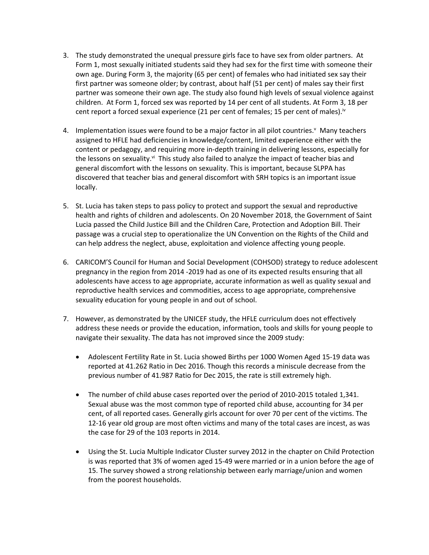- 3. The study demonstrated the unequal pressure girls face to have sex from older partners. At Form 1, most sexually initiated students said they had sex for the first time with someone their own age. During Form 3, the majority (65 per cent) of females who had initiated sex say their first partner was someone older; by contrast, about half (51 per cent) of males say their first partner was someone their own age. The study also found high levels of sexual violence against children. At Form 1, forced sex was reported by 14 per cent of all students. At Form 3, 18 per cent report a forced sexual experience (21 per cent of females; 15 per cent of males).<sup>iv</sup>
- 4. Implementation issues were found to be <sup>a</sup> major factor in all pilot countries. <sup>v</sup> Many teachers assigned to HFLE had deficiencies in knowledge/content, limited experience either with the content or pedagogy, and requiring more in-depth training in delivering lessons, especially for the lessons on sexuality.<sup>vi</sup> This study also failed to analyze the impact of teacher bias and general discomfort with the lessons on sexuality. This is important, because SLPPA has discovered that teacher bias and general discomfort with SRH topics is an important issue locally.
- 5. St. Lucia has taken steps to pass policy to protect and support the sexual and reproductive health and rights of children and adolescents. On 20 November 2018, the Government of Saint Lucia passed the Child Justice Bill and the Children Care, Protection and Adoption Bill. Their passage was <sup>a</sup> crucial step to operationalize the UN Convention on the Rights of the Child and can help address the neglect, abuse, exploitation and violence affecting young people.
- 6. CARICOM'S Council for Human and Social Development (COHSOD) strategy to reduce adolescent pregnancy in the region from 2014 -2019 had as one of its expected results ensuring that all adolescents have access to age appropriate, accurate information as well as quality sexual and reproductive health services and commodities, access to age appropriate, comprehensive sexuality education for young people in and out of school.
- 7. However, as demonstrated by the UNICEF study, the HFLE curriculum does not effectively address these needs or provide the education, information, tools and skills for young people to navigate their sexuality. The data has not improved since the 2009 study:
	- Adolescent Fertility Rate in St. Lucia showed Births per 1000 Women Aged 15-19 data was reported at 41.262 Ratio in Dec 2016. Though this records <sup>a</sup> miniscule decrease from the previous number of 41.987 Ratio for Dec 2015, the rate is still extremely high.
	- The number of child abuse cases reported over the period of 2010-2015 totaled 1,341. Sexual abuse was the most common type of reported child abuse, accounting for 34 per cent, of all reported cases. Generally girls account for over 70 per cent of the victims. The 12-16 year old group are most often victims and many of the total cases are incest, as was the case for 29 of the 103 reports in 2014.
	- Using the St. Lucia Multiple Indicator Cluster survey 2012 in the chapter on Child Protection is was reported that 3% of women aged 15-49 were married or in <sup>a</sup> union before the age of 15. The survey showed <sup>a</sup> strong relationship between early marriage/union and women from the poorest households.